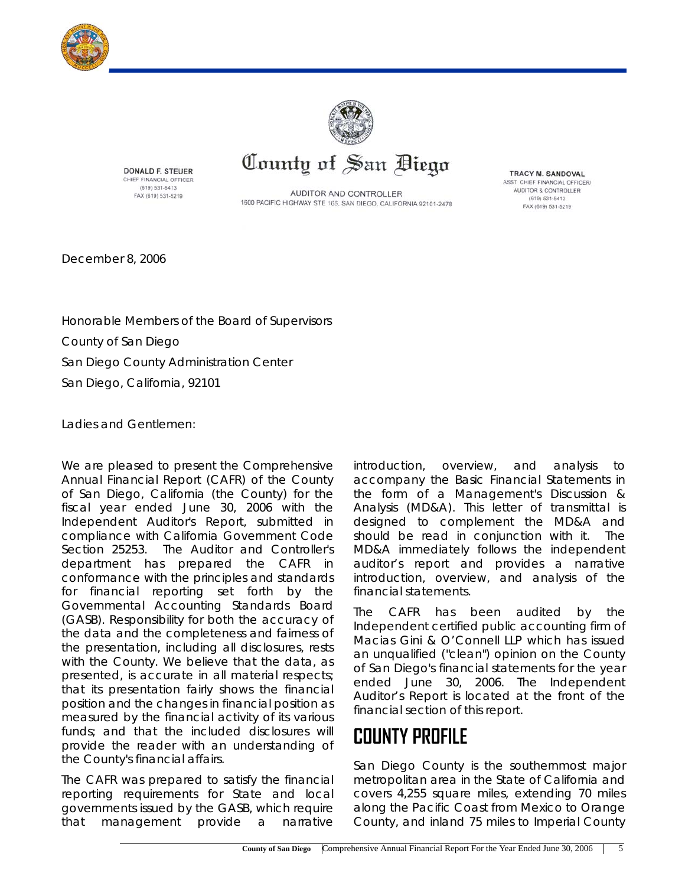



**DONALD F. STEUER** CHIEF FINANCIAL OFFICER (619) 531-5413 FAX (619) 531-5219

AUDITOR AND CONTROLLER 1600 PACIFIC HIGHWAY STE 166, SAN DIEGO, CALIFORNIA 92101-2478

County of San Biego

TRACY M. SANDOVAL ASST. CHIEF FINANCIAL OFFICER/ AUDITOR & CONTROLLER  $(619) 531 - 5413$ FAX (619) 531-5219

December 8, 2006

Honorable Members of the Board of Supervisors County of San Diego San Diego County Administration Center San Diego, California, 92101

Ladies and Gentlemen:

We are pleased to present the Comprehensive Annual Financial Report (CAFR) of the County of San Diego, California (the County) for the fiscal year ended June 30, 2006 with the Independent Auditor's Report, submitted in compliance with California Government Code Section 25253. The Auditor and Controller's department has prepared the CAFR in conformance with the principles and standards for financial reporting set forth by the Governmental Accounting Standards Board (GASB). Responsibility for both the accuracy of the data and the completeness and fairness of the presentation, including all disclosures, rests with the County. We believe that the data, as presented, is accurate in all material respects; that its presentation fairly shows the financial position and the changes in financial position as measured by the financial activity of its various funds; and that the included disclosures will provide the reader with an understanding of the County's financial affairs.

The CAFR was prepared to satisfy the financial reporting requirements for State and local governments issued by the GASB, which require that management provide a narrative

introduction, overview, and analysis to accompany the Basic Financial Statements in the form of a Management's Discussion & Analysis (MD&A). This letter of transmittal is designed to complement the MD&A and should be read in conjunction with it. The MD&A immediately follows the independent auditor's report and provides a narrative introduction, overview, and analysis of the financial statements.

The CAFR has been audited by the Independent certified public accounting firm of Macias Gini & O'Connell LLP which has issued an unqualified ("clean") opinion on the County of San Diego's financial statements for the year ended June 30, 2006. The Independent Auditor's Report is located at the front of the financial section of this report.

# **COUNTY PROFILE**

San Diego County is the southernmost major metropolitan area in the State of California and covers 4,255 square miles, extending 70 miles along the Pacific Coast from Mexico to Orange County, and inland 75 miles to Imperial County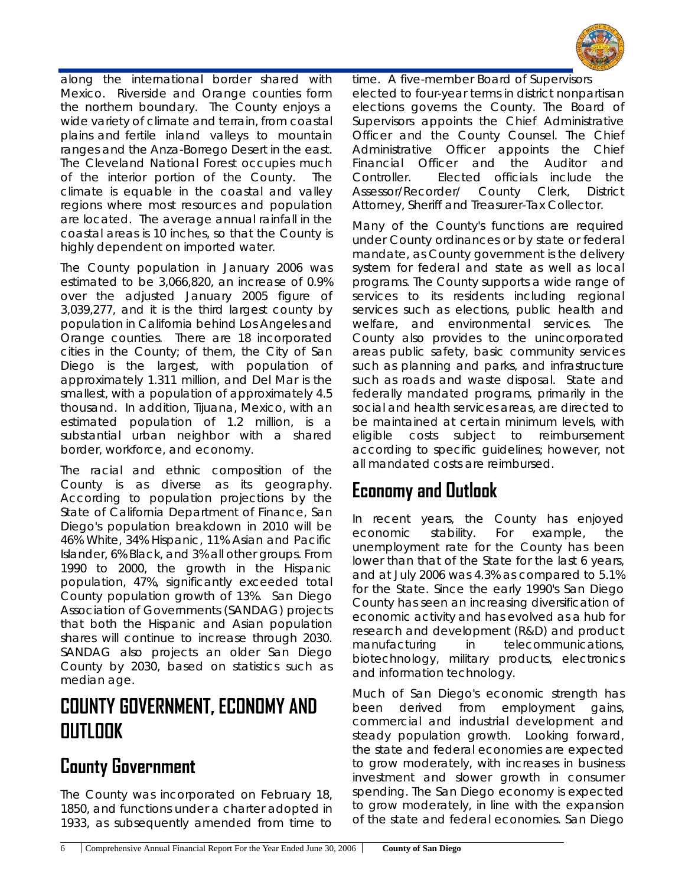

along the international border shared with Mexico. Riverside and Orange counties form the northern boundary. The County enjoys a wide variety of climate and terrain, from coastal plains and fertile inland valleys to mountain ranges and the Anza-Borrego Desert in the east. The Cleveland National Forest occupies much of the interior portion of the County. The climate is equable in the coastal and valley regions where most resources and population are located. The average annual rainfall in the coastal areas is 10 inches, so that the County is highly dependent on imported water.

The County population in January 2006 was estimated to be 3,066,820, an increase of 0.9% over the adjusted January 2005 figure of 3,039,277, and it is the third largest county by population in California behind Los Angeles and Orange counties. There are 18 incorporated cities in the County; of them, the City of San Diego is the largest, with population of approximately 1.311 million, and Del Mar is the smallest, with a population of approximately 4.5 thousand. In addition, Tijuana, Mexico, with an estimated population of 1.2 million, is a substantial urban neighbor with a shared border, workforce, and economy.

The racial and ethnic composition of the County is as diverse as its geography. According to population projections by the State of California Department of Finance, San Diego's population breakdown in 2010 will be 46% White, 34% Hispanic, 11% Asian and Pacific Islander, 6% Black, and 3% all other groups. From 1990 to 2000, the growth in the Hispanic population, 47%, significantly exceeded total County population growth of 13%. San Diego Association of Governments (SANDAG) projects that both the Hispanic and Asian population shares will continue to increase through 2030. SANDAG also projects an older San Diego County by 2030, based on statistics such as median age.

#### **COUNTY GOVERNMENT, ECONOMY AND OUTLOOK**

#### **County Government**

The County was incorporated on February 18, 1850, and functions under a charter adopted in 1933, as subsequently amended from time to time. A five-member Board of Supervisors elected to four-year terms in district nonpartisan elections governs the County. The Board of Supervisors appoints the Chief Administrative Officer and the County Counsel. The Chief Administrative Officer appoints the Chief Financial Officer and the Auditor and Controller. Elected officials include the Assessor/Recorder/ County Clerk, District Attorney, Sheriff and Treasurer-Tax Collector.

Many of the County's functions are required under County ordinances or by state or federal mandate, as County government is the delivery system for federal and state as well as local programs. The County supports a wide range of services to its residents including regional services such as elections, public health and welfare, and environmental services. The County also provides to the unincorporated areas public safety, basic community services such as planning and parks, and infrastructure such as roads and waste disposal. State and federally mandated programs, primarily in the social and health services areas, are directed to be maintained at certain minimum levels, with eligible costs subject to reimbursement according to specific guidelines; however, not all mandated costs are reimbursed.

### **Economy and Outlook**

In recent years, the County has enjoyed economic stability. For example, the unemployment rate for the County has been lower than that of the State for the last 6 years, and at July 2006 was 4.3% as compared to 5.1% for the State. Since the early 1990's San Diego County has seen an increasing diversification of economic activity and has evolved as a hub for research and development (R&D) and product manufacturing in telecommunications, biotechnology, military products, electronics and information technology.

Much of San Diego's economic strength has been derived from employment gains, commercial and industrial development and steady population growth. Looking forward, the state and federal economies are expected to grow moderately, with increases in business investment and slower growth in consumer spending. The San Diego economy is expected to grow moderately, in line with the expansion of the state and federal economies. San Diego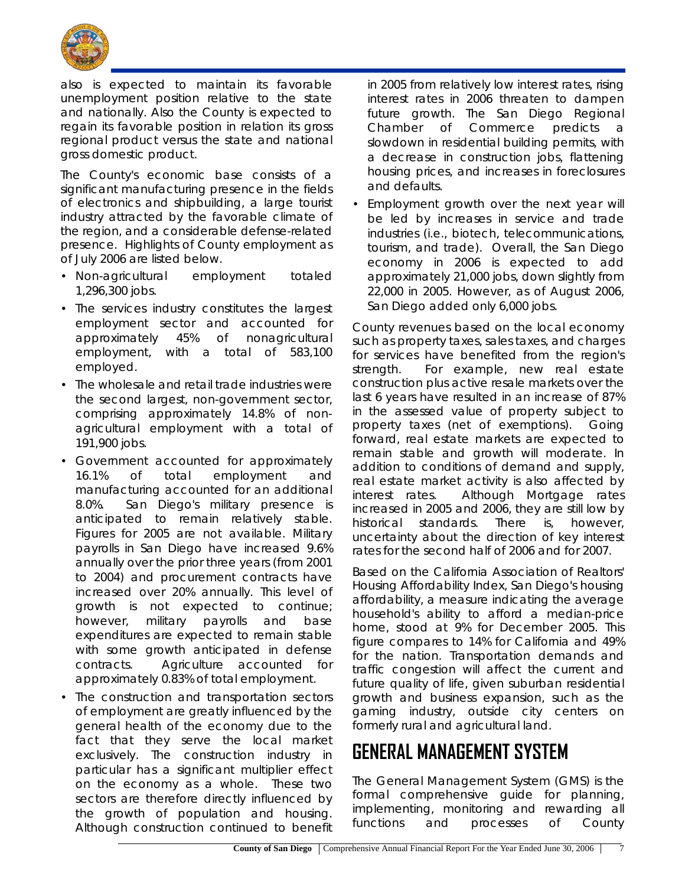

also is expected to maintain its favorable unemployment position relative to the state and nationally. Also the County is expected to regain its favorable position in relation its gross regional product versus the state and national gross domestic product.

The County's economic base consists of a significant manufacturing presence in the fields of electronics and shipbuilding, a large tourist industry attracted by the favorable climate of the region, and a considerable defense-related presence. Highlights of County employment as of July 2006 are listed below.

- Non-agricultural employment totaled 1,296,300 jobs.
- The services industry constitutes the largest employment sector and accounted for approximately 45% of nonagricultural employment, with a total of 583,100 employed.
- The wholesale and retail trade industries were the second largest, non-government sector, comprising approximately 14.8% of nonagricultural employment with a total of 191,900 jobs.
- Government accounted for approximately 16.1% of total employment and manufacturing accounted for an additional 8.0%. San Diego's military presence is anticipated to remain relatively stable. Figures for 2005 are not available. Military payrolls in San Diego have increased 9.6% annually over the prior three years (from 2001 to 2004) and procurement contracts have increased over 20% annually. This level of growth is not expected to continue; however, military payrolls and base expenditures are expected to remain stable with some growth anticipated in defense contracts. Agriculture accounted for approximately 0.83% of total employment.
- The construction and transportation sectors of employment are greatly influenced by the general health of the economy due to the fact that they serve the local market exclusively. The construction industry in particular has a significant multiplier effect on the economy as a whole. These two sectors are therefore directly influenced by the growth of population and housing. Although construction continued to benefit

in 2005 from relatively low interest rates, rising interest rates in 2006 threaten to dampen future growth. The San Diego Regional Chamber of Commerce predicts a slowdown in residential building permits, with a decrease in construction jobs, flattening housing prices, and increases in foreclosures and defaults.

• Employment growth over the next year will be led by increases in service and trade industries (i.e., biotech, telecommunications, tourism, and trade). Overall, the San Diego economy in 2006 is expected to add approximately 21,000 jobs, down slightly from 22,000 in 2005. However, as of August 2006, San Diego added only 6,000 jobs.

County revenues based on the local economy such as property taxes, sales taxes, and charges for services have benefited from the region's strength. For example, new real estate construction plus active resale markets over the last 6 years have resulted in an increase of 87% in the assessed value of property subject to property taxes (net of exemptions). Going forward, real estate markets are expected to remain stable and growth will moderate. In addition to conditions of demand and supply, real estate market activity is also affected by interest rates. Although Mortgage rates increased in 2005 and 2006, they are still low by historical standards. There is, however, uncertainty about the direction of key interest rates for the second half of 2006 and for 2007.

Based on the California Association of Realtors' Housing Affordability Index, San Diego's housing affordability, a measure indicating the average household's ability to afford a median-price home, stood at 9% for December 2005. This figure compares to 14% for California and 49% for the nation. Transportation demands and traffic congestion will affect the current and future quality of life, given suburban residential growth and business expansion, such as the gaming industry, outside city centers on formerly rural and agricultural land.

# **GENERAL MANAGEMENT SYSTEM**

The General Management System (GMS) is the formal comprehensive guide for planning, implementing, monitoring and rewarding all functions and processes of County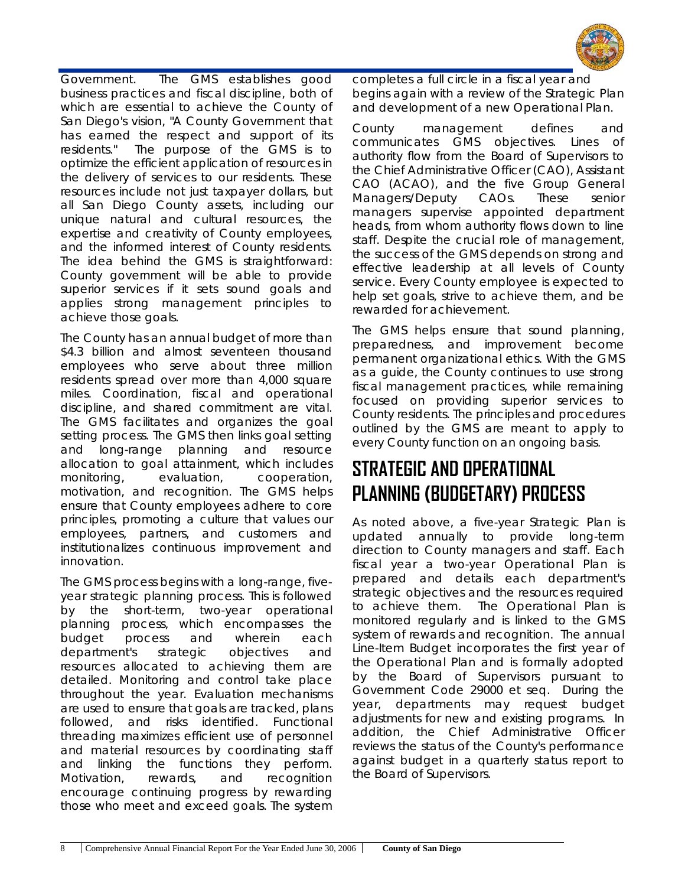

Government. The GMS establishes good business practices and fiscal discipline, both of which are essential to achieve the County of San Diego's vision, "A County Government that has earned the respect and support of its residents." The purpose of the GMS is to optimize the efficient application of resources in the delivery of services to our residents. These resources include not just taxpayer dollars, but all San Diego County assets, including our unique natural and cultural resources, the expertise and creativity of County employees, and the informed interest of County residents. The idea behind the GMS is straightforward: County government will be able to provide superior services if it sets sound goals and applies strong management principles to achieve those goals.

The County has an annual budget of more than \$4.3 billion and almost seventeen thousand employees who serve about three million residents spread over more than 4,000 square miles. Coordination, fiscal and operational discipline, and shared commitment are vital. The GMS facilitates and organizes the goal setting process. The GMS then links goal setting and long-range planning and resource allocation to goal attainment, which includes monitoring, evaluation, cooperation, motivation, and recognition. The GMS helps ensure that County employees adhere to core principles, promoting a culture that values our employees, partners, and customers and institutionalizes continuous improvement and innovation.

The GMS process begins with a long-range, fiveyear strategic planning process. This is followed by the short-term, two-year operational planning process, which encompasses the budget process and wherein each department's strategic objectives and resources allocated to achieving them are detailed. Monitoring and control take place throughout the year. Evaluation mechanisms are used to ensure that goals are tracked, plans followed, and risks identified. Functional threading maximizes efficient use of personnel and material resources by coordinating staff and linking the functions they perform. Motivation, rewards, and recognition encourage continuing progress by rewarding those who meet and exceed goals. The system

completes a full circle in a fiscal year and begins again with a review of the Strategic Plan and development of a new Operational Plan.

County management defines and communicates GMS objectives. Lines of authority flow from the Board of Supervisors to the Chief Administrative Officer (CAO), Assistant CAO (ACAO), and the five Group General Managers/Deputy CAOs. These senior managers supervise appointed department heads, from whom authority flows down to line staff. Despite the crucial role of management, the success of the GMS depends on strong and effective leadership at all levels of County service. Every County employee is expected to help set goals, strive to achieve them, and be rewarded for achievement.

The GMS helps ensure that sound planning, preparedness, and improvement become permanent organizational ethics. With the GMS as a guide, the County continues to use strong fiscal management practices, while remaining focused on providing superior services to County residents. The principles and procedures outlined by the GMS are meant to apply to every County function on an ongoing basis.

# **STRATEGIC AND OPERATIONAL PLANNING (BUDGETARY) PROCESS**

As noted above, a five-year Strategic Plan is updated annually to provide long-term direction to County managers and staff. Each fiscal year a two-year Operational Plan is prepared and details each department's strategic objectives and the resources required to achieve them. The Operational Plan is monitored regularly and is linked to the GMS system of rewards and recognition. The annual Line-Item Budget incorporates the first year of the Operational Plan and is formally adopted by the Board of Supervisors pursuant to Government Code 29000 et seq. During the year, departments may request budget adjustments for new and existing programs. In addition, the Chief Administrative Officer reviews the status of the County's performance against budget in a quarterly status report to the Board of Supervisors.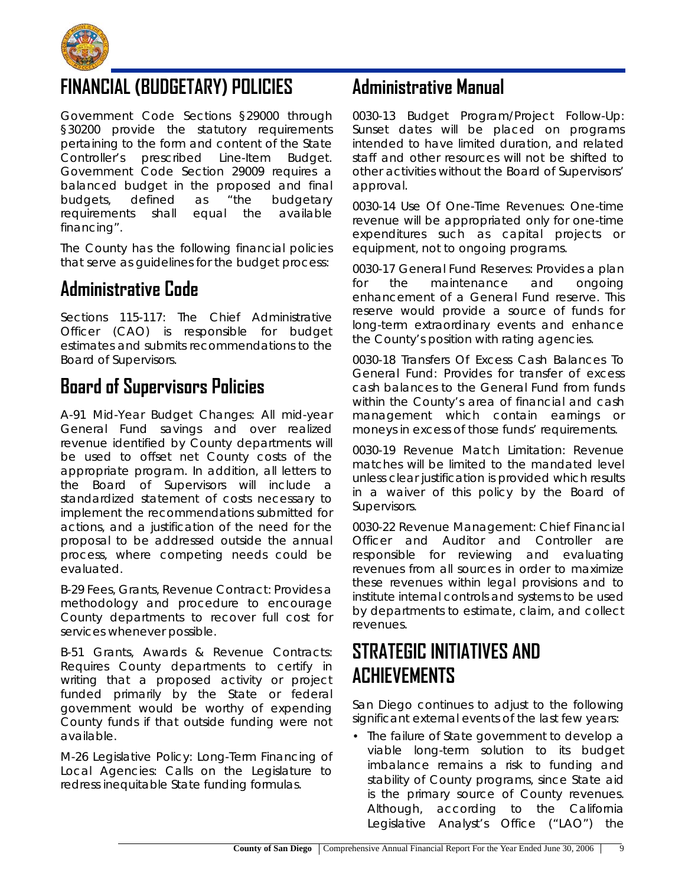

### **FINANCIAL (BUDGETARY) POLICIES**

Government Code Sections §29000 through §30200 provide the statutory requirements pertaining to the form and content of the State Controller's prescribed Line-Item Budget. Government Code Section 29009 requires a balanced budget in the proposed and final budgets, defined as "the budgetary requirements shall equal the available financing".

The County has the following financial policies that serve as guidelines for the budget process:

### **Administrative Code**

Sections 115-117: The Chief Administrative Officer (CAO) is responsible for budget estimates and submits recommendations to the Board of Supervisors.

#### **Board of Supervisors Policies**

A-91 Mid-Year Budget Changes: All mid-year General Fund savings and over realized revenue identified by County departments will be used to offset net County costs of the appropriate program. In addition, all letters to the Board of Supervisors will include a standardized statement of costs necessary to implement the recommendations submitted for actions, and a justification of the need for the proposal to be addressed outside the annual process, where competing needs could be evaluated.

B-29 Fees, Grants, Revenue Contract: Provides a methodology and procedure to encourage County departments to recover full cost for services whenever possible.

B-51 Grants, Awards & Revenue Contracts: Requires County departments to certify in writing that a proposed activity or project funded primarily by the State or federal government would be worthy of expending County funds if that outside funding were not available.

M-26 Legislative Policy: Long-Term Financing of Local Agencies: Calls on the Legislature to redress inequitable State funding formulas.

### **Administrative Manual**

0030-13 Budget Program/Project Follow-Up: Sunset dates will be placed on programs intended to have limited duration, and related staff and other resources will not be shifted to other activities without the Board of Supervisors' approval.

0030-14 Use Of One-Time Revenues: One-time revenue will be appropriated only for one-time expenditures such as capital projects or equipment, not to ongoing programs.

0030-17 General Fund Reserves: Provides a plan for the maintenance and ongoing enhancement of a General Fund reserve. This reserve would provide a source of funds for long-term extraordinary events and enhance the County's position with rating agencies.

0030-18 Transfers Of Excess Cash Balances To General Fund: Provides for transfer of excess cash balances to the General Fund from funds within the County's area of financial and cash management which contain earnings or moneys in excess of those funds' requirements.

0030-19 Revenue Match Limitation: Revenue matches will be limited to the mandated level unless clear justification is provided which results in a waiver of this policy by the Board of Supervisors.

0030-22 Revenue Management: Chief Financial Officer and Auditor and Controller are responsible for reviewing and evaluating revenues from all sources in order to maximize these revenues within legal provisions and to institute internal controls and systems to be used by departments to estimate, claim, and collect revenues.

### **STRATEGIC INITIATIVES AND ACHIEVEMENTS**

San Diego continues to adjust to the following significant external events of the last few years:

• The failure of State government to develop a viable long-term solution to its budget imbalance remains a risk to funding and stability of County programs, since State aid is the primary source of County revenues. Although, according to the California Legislative Analyst's Office ("LAO") the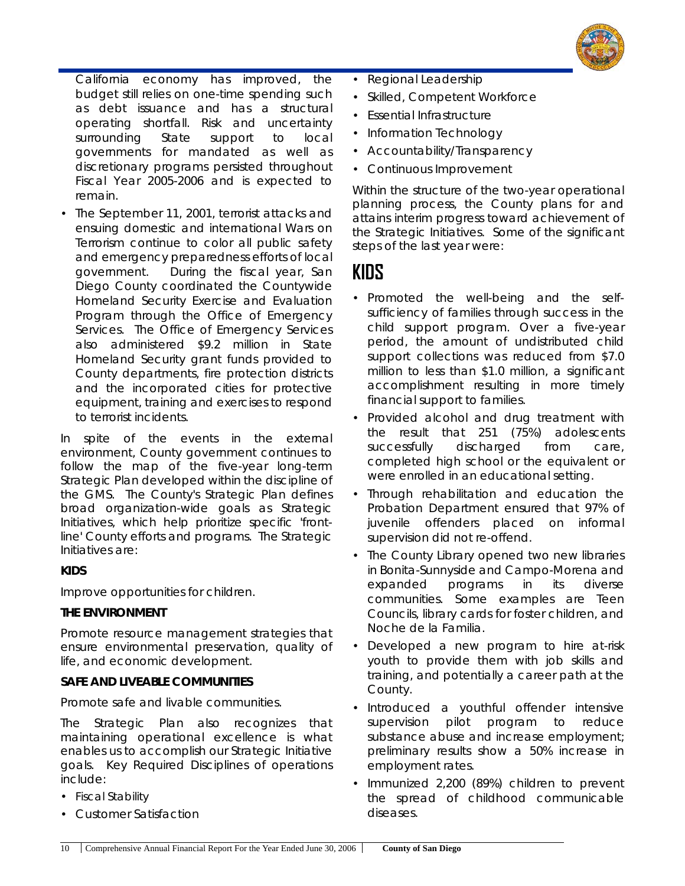

California economy has improved, the budget still relies on one-time spending such as debt issuance and has a structural operating shortfall. Risk and uncertainty surrounding State support to local governments for mandated as well as discretionary programs persisted throughout Fiscal Year 2005-2006 and is expected to remain.

• The September 11, 2001, terrorist attacks and ensuing domestic and international Wars on Terrorism continue to color all public safety and emergency preparedness efforts of local government. During the fiscal year, San Diego County coordinated the Countywide Homeland Security Exercise and Evaluation Program through the Office of Emergency Services. The Office of Emergency Services also administered \$9.2 million in State Homeland Security grant funds provided to County departments, fire protection districts and the incorporated cities for protective equipment, training and exercises to respond to terrorist incidents.

In spite of the events in the external environment, County government continues to follow the map of the five-year long-term Strategic Plan developed within the discipline of the GMS. The County's Strategic Plan defines broad organization-wide goals as Strategic Initiatives, which help prioritize specific 'frontline' County efforts and programs. The Strategic Initiatives are:

#### **KIDS**

Improve opportunities for children.

#### **THE ENVIRONMENT**

Promote resource management strategies that ensure environmental preservation, quality of life, and economic development.

#### **SAFE AND LIVEABLE COMMUNITIES**

Promote safe and livable communities.

The Strategic Plan also recognizes that maintaining operational excellence is what enables us to accomplish our Strategic Initiative goals. Key Required Disciplines of operations include:

- Fiscal Stability
- Customer Satisfaction
- Regional Leadership
- Skilled, Competent Workforce
- Essential Infrastructure
- Information Technology
- Accountability/Transparency
- Continuous Improvement

Within the structure of the two-year operational planning process, the County plans for and attains interim progress toward achievement of the Strategic Initiatives. Some of the significant steps of the last year were:

#### **KIDS**

- Promoted the well-being and the selfsufficiency of families through success in the child support program. Over a five-year period, the amount of undistributed child support collections was reduced from \$7.0 million to less than \$1.0 million, a significant accomplishment resulting in more timely financial support to families.
- Provided alcohol and drug treatment with the result that 251 (75%) adolescents successfully discharged from care, completed high school or the equivalent or were enrolled in an educational setting.
- Through rehabilitation and education the Probation Department ensured that 97% of juvenile offenders placed on informal supervision did not re-offend.
- The County Library opened two new libraries in Bonita-Sunnyside and Campo-Morena and expanded programs in its diverse communities. Some examples are Teen Councils, library cards for foster children, and Noche de la Familia.
- Developed a new program to hire at-risk youth to provide them with job skills and training, and potentially a career path at the County.
- Introduced a youthful offender intensive supervision pilot program to reduce substance abuse and increase employment; preliminary results show a 50% increase in employment rates.
- Immunized 2,200 (89%) children to prevent the spread of childhood communicable diseases.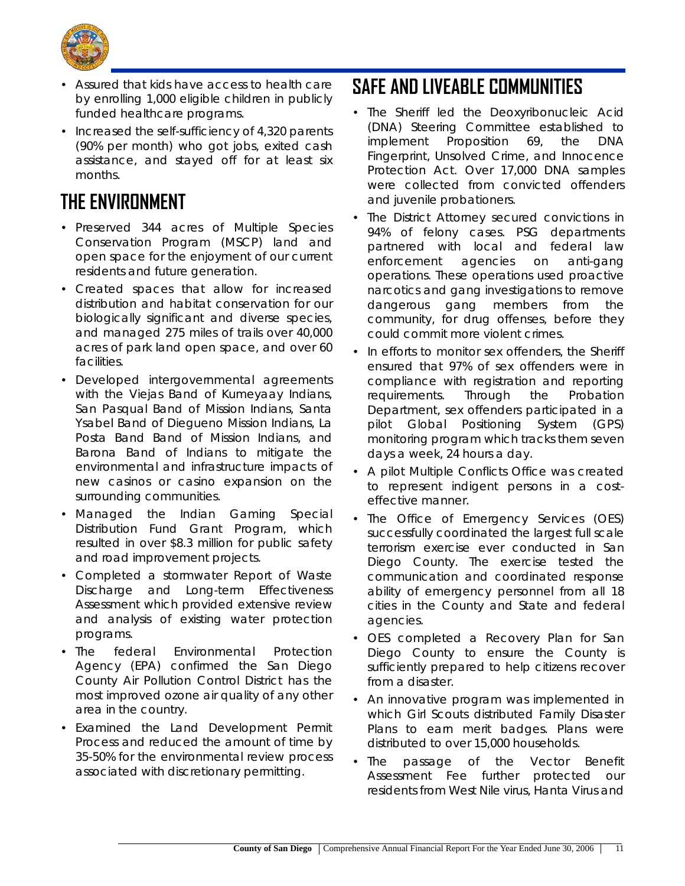

- Assured that kids have access to health care by enrolling 1,000 eligible children in publicly funded healthcare programs.
- Increased the self-sufficiency of 4,320 parents (90% per month) who got jobs, exited cash assistance, and stayed off for at least six months.

# **THE ENVIRONMENT**

- Preserved 344 acres of Multiple Species Conservation Program (MSCP) land and open space for the enjoyment of our current residents and future generation.
- Created spaces that allow for increased distribution and habitat conservation for our biologically significant and diverse species, and managed 275 miles of trails over 40,000 acres of park land open space, and over 60 facilities.
- Developed intergovernmental agreements with the Viejas Band of Kumeyaay Indians, San Pasqual Band of Mission Indians, Santa Ysabel Band of Diegueno Mission Indians, La Posta Band Band of Mission Indians, and Barona Band of Indians to mitigate the environmental and infrastructure impacts of new casinos or casino expansion on the surrounding communities.
- Managed the Indian Gaming Special Distribution Fund Grant Program, which resulted in over \$8.3 million for public safety and road improvement projects.
- Completed a stormwater Report of Waste Discharge and Long-term Effectiveness Assessment which provided extensive review and analysis of existing water protection programs.
- The federal Environmental Protection Agency (EPA) confirmed the San Diego County Air Pollution Control District has the most improved ozone air quality of any other area in the country.
- Examined the Land Development Permit Process and reduced the amount of time by 35-50% for the environmental review process associated with discretionary permitting.

## **SAFE AND LIVEABLE COMMUNITIES**

- The Sheriff led the Deoxyribonucleic Acid (DNA) Steering Committee established to implement Proposition 69, the DNA Fingerprint, Unsolved Crime, and Innocence Protection Act. Over 17,000 DNA samples were collected from convicted offenders and juvenile probationers.
- The District Attorney secured convictions in 94% of felony cases. PSG departments partnered with local and federal law enforcement agencies on anti-gang operations. These operations used proactive narcotics and gang investigations to remove dangerous gang members from the community, for drug offenses, before they could commit more violent crimes.
- In efforts to monitor sex offenders, the Sheriff ensured that 97% of sex offenders were in compliance with registration and reporting requirements. Through the Probation Department, sex offenders participated in a pilot Global Positioning System (GPS) monitoring program which tracks them seven days a week, 24 hours a day.
- A pilot Multiple Conflicts Office was created to represent indigent persons in a costeffective manner.
- The Office of Emergency Services (OES) successfully coordinated the largest full scale terrorism exercise ever conducted in San Diego County. The exercise tested the communication and coordinated response ability of emergency personnel from all 18 cities in the County and State and federal agencies.
- OES completed a Recovery Plan for San Diego County to ensure the County is sufficiently prepared to help citizens recover from a disaster.
- An innovative program was implemented in which Girl Scouts distributed Family Disaster Plans to earn merit badges. Plans were distributed to over 15,000 households.
- The passage of the Vector Benefit Assessment Fee further protected our residents from West Nile virus, Hanta Virus and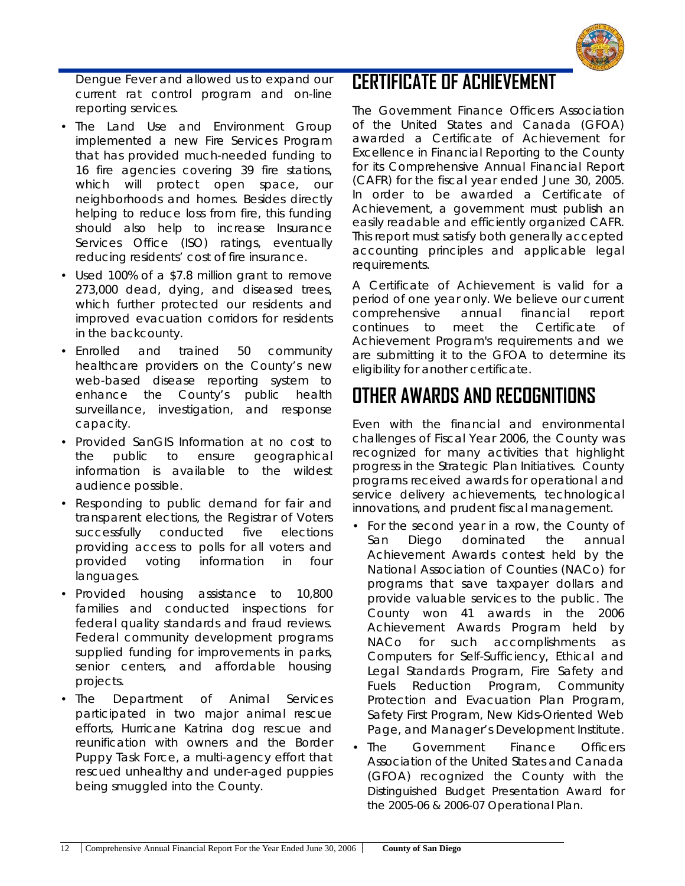

Dengue Fever and allowed us to expand our current rat control program and on-line reporting services.

- The Land Use and Environment Group implemented a new Fire Services Program that has provided much-needed funding to 16 fire agencies covering 39 fire stations, which will protect open space, our neighborhoods and homes. Besides directly helping to reduce loss from fire, this funding should also help to increase Insurance Services Office (ISO) ratings, eventually reducing residents' cost of fire insurance.
- Used 100% of a \$7.8 million grant to remove 273,000 dead, dying, and diseased trees, which further protected our residents and improved evacuation corridors for residents in the backcounty.
- Enrolled and trained 50 community healthcare providers on the County's new web-based disease reporting system to enhance the County's public health surveillance, investigation, and response capacity.
- Provided SanGIS Information at no cost to the public to ensure geographical information is available to the wildest audience possible.
- Responding to public demand for fair and transparent elections, the Registrar of Voters successfully conducted five elections providing access to polls for all voters and provided voting information in four languages.
- Provided housing assistance to 10,800 families and conducted inspections for federal quality standards and fraud reviews. Federal community development programs supplied funding for improvements in parks, senior centers, and affordable housing projects.
- The Department of Animal Services participated in two major animal rescue efforts, Hurricane Katrina dog rescue and reunification with owners and the Border Puppy Task Force, a multi-agency effort that rescued unhealthy and under-aged puppies being smuggled into the County.

#### **CERTIFICATE OF ACHIEVEMENT**

The Government Finance Officers Association of the United States and Canada (GFOA) awarded a Certificate of Achievement for Excellence in Financial Reporting to the County for its Comprehensive Annual Financial Report (CAFR) for the fiscal year ended June 30, 2005. In order to be awarded a Certificate of Achievement, a government must publish an easily readable and efficiently organized CAFR. This report must satisfy both generally accepted accounting principles and applicable legal requirements.

A Certificate of Achievement is valid for a period of one year only. We believe our current comprehensive annual financial report continues to meet the Certificate of Achievement Program's requirements and we are submitting it to the GFOA to determine its eligibility for another certificate.

# **OTHER AWARDS AND RECOGNITIONS**

Even with the financial and environmental challenges of Fiscal Year 2006, the County was recognized for many activities that highlight progress in the Strategic Plan Initiatives. County programs received awards for operational and service delivery achievements, technological innovations, and prudent fiscal management.

- For the second year in a row, the County of San Diego dominated the annual Achievement Awards contest held by the National Association of Counties (NACo) for programs that save taxpayer dollars and provide valuable services to the public. The County won 41 awards in the 2006 Achievement Awards Program held by NACo for such accomplishments as Computers for Self-Sufficiency, Ethical and Legal Standards Program, Fire Safety and Fuels Reduction Program, Community Protection and Evacuation Plan Program, Safety First Program, New Kids-Oriented Web Page, and Manager's Development Institute.
- The Government Finance Officers Association of the United States and Canada (GFOA) recognized the County with the *Distinguished Budget Presentation Award* for the 2005-06 & 2006-07 Operational Plan.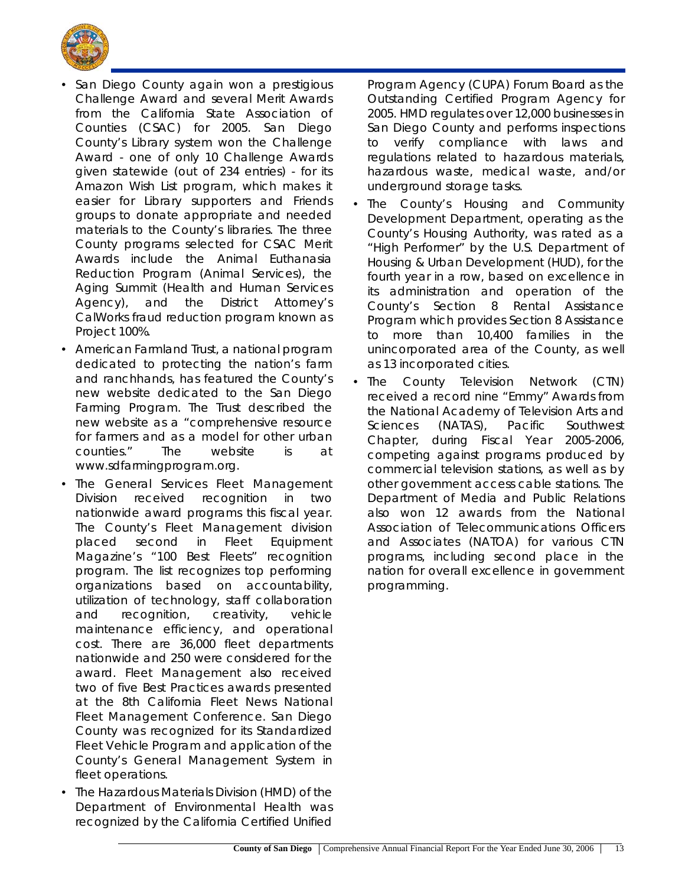

- San Diego County again won a prestigious Challenge Award and several Merit Awards from the California State Association of Counties (CSAC) for 2005. San Diego County's Library system won the Challenge Award - one of only 10 Challenge Awards given statewide (out of 234 entries) - for its Amazon Wish List program, which makes it easier for Library supporters and Friends groups to donate appropriate and needed materials to the County's libraries. The three County programs selected for CSAC Merit Awards include the Animal Euthanasia Reduction Program (Animal Services), the Aging Summit (Health and Human Services Agency), and the District Attorney's CalWorks fraud reduction program known as Project 100%.
- American Farmland Trust, a national program dedicated to protecting the nation's farm and ranchhands, has featured the County's new website dedicated to the San Diego Farming Program. The Trust described the new website as a "comprehensive resource for farmers and as a model for other urban counties." The website is at *www.sdfarmingprogram.org*.
- The General Services Fleet Management Division received recognition in two nationwide award programs this fiscal year. The County's Fleet Management division placed second in Fleet Equipment Magazine's "100 Best Fleets" recognition program. The list recognizes top performing organizations based on accountability, utilization of technology, staff collaboration and recognition, creativity, vehicle maintenance efficiency, and operational cost. There are 36,000 fleet departments nationwide and 250 were considered for the award. Fleet Management also received two of five Best Practices awards presented at the 8th California Fleet News National Fleet Management Conference. San Diego County was recognized for its Standardized Fleet Vehicle Program and application of the County's General Management System in fleet operations.
- The Hazardous Materials Division (HMD) of the Department of Environmental Health was recognized by the California Certified Unified

Program Agency (CUPA) Forum Board as the Outstanding Certified Program Agency for 2005. HMD regulates over 12,000 businesses in San Diego County and performs inspections to verify compliance with laws and regulations related to hazardous materials, hazardous waste, medical waste, and/or underground storage tasks.

- The County's Housing and Community Development Department, operating as the County's Housing Authority, was rated as a "High Performer" by the U.S. Department of Housing & Urban Development (HUD), for the fourth year in a row, based on excellence in its administration and operation of the County's Section 8 Rental Assistance Program which provides Section 8 Assistance to more than 10,400 families in the unincorporated area of the County, as well as 13 incorporated cities.
- The County Television Network (CTN) received a record nine "Emmy" Awards from the National Academy of Television Arts and Sciences (NATAS), Pacific Southwest Chapter, during Fiscal Year 2005-2006, competing against programs produced by commercial television stations, as well as by other government access cable stations. The Department of Media and Public Relations also won 12 awards from the National Association of Telecommunications Officers and Associates (NATOA) for various CTN programs, including second place in the nation for overall excellence in government programming.